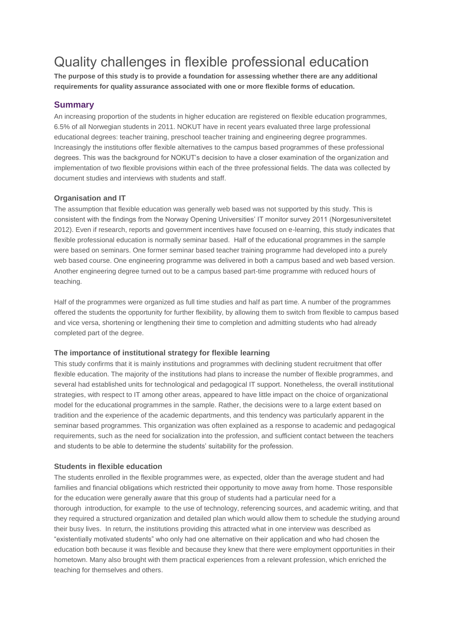# Quality challenges in flexible professional education

**The purpose of this study is to provide a foundation for assessing whether there are any additional requirements for quality assurance associated with one or more flexible forms of education.**

## **Summary**

An increasing proportion of the students in higher education are registered on flexible education programmes, 6.5% of all Norwegian students in 2011. NOKUT have in recent years evaluated three large professional educational degrees: teacher training, preschool teacher training and engineering degree programmes. Increasingly the institutions offer flexible alternatives to the campus based programmes of these professional degrees. This was the background for NOKUT's decision to have a closer examination of the organization and implementation of two flexible provisions within each of the three professional fields. The data was collected by document studies and interviews with students and staff.

## **Organisation and IT**

The assumption that flexible education was generally web based was not supported by this study. This is consistent with the findings from the Norway Opening Universities' IT monitor survey 2011 (Norgesuniversitetet 2012). Even if research, reports and government incentives have focused on e-learning, this study indicates that flexible professional education is normally seminar based. Half of the educational programmes in the sample were based on seminars. One former seminar based teacher training programme had developed into a purely web based course. One engineering programme was delivered in both a campus based and web based version. Another engineering degree turned out to be a campus based part-time programme with reduced hours of teaching.

Half of the programmes were organized as full time studies and half as part time. A number of the programmes offered the students the opportunity for further flexibility, by allowing them to switch from flexible to campus based and vice versa, shortening or lengthening their time to completion and admitting students who had already completed part of the degree.

#### **The importance of institutional strategy for flexible learning**

This study confirms that it is mainly institutions and programmes with declining student recruitment that offer flexible education. The majority of the institutions had plans to increase the number of flexible programmes, and several had established units for technological and pedagogical IT support. Nonetheless, the overall institutional strategies, with respect to IT among other areas, appeared to have little impact on the choice of organizational model for the educational programmes in the sample. Rather, the decisions were to a large extent based on tradition and the experience of the academic departments, and this tendency was particularly apparent in the seminar based programmes. This organization was often explained as a response to academic and pedagogical requirements, such as the need for socialization into the profession, and sufficient contact between the teachers and students to be able to determine the students' suitability for the profession.

#### **Students in flexible education**

The students enrolled in the flexible programmes were, as expected, older than the average student and had families and financial obligations which restricted their opportunity to move away from home. Those responsible for the education were generally aware that this group of students had a particular need for a thorough introduction, for example to the use of technology, referencing sources, and academic writing, and that they required a structured organization and detailed plan which would allow them to schedule the studying around their busy lives. In return, the institutions providing this attracted what in one interview was described as "existentially motivated students" who only had one alternative on their application and who had chosen the education both because it was flexible and because they knew that there were employment opportunities in their hometown. Many also brought with them practical experiences from a relevant profession, which enriched the teaching for themselves and others.